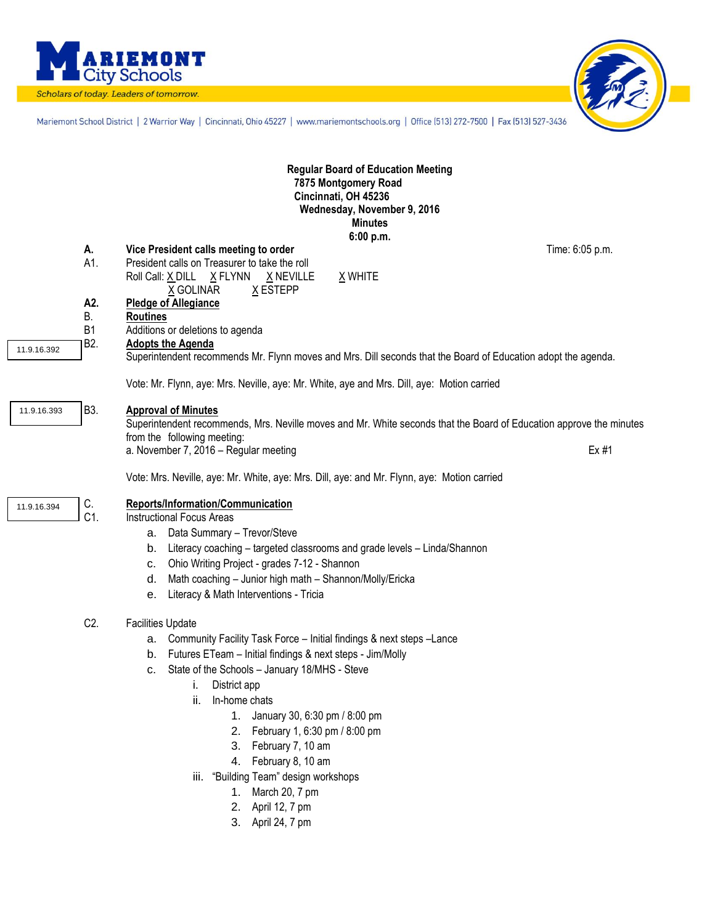

Scholars of today. Leaders of tomorrow.



Mariemont School District | 2 Warrior Way | Cincinnati, Ohio 45227 | www.mariemontschools.org | Office [513] 272-7500 | Fax [513] 527-3436

|             |                  | <b>Regular Board of Education Meeting</b><br>7875 Montgomery Road<br>Cincinnati, OH 45236<br>Wednesday, November 9, 2016<br><b>Minutes</b>                                                                                                                                                                                                                                                                                                                                                                                  |
|-------------|------------------|-----------------------------------------------------------------------------------------------------------------------------------------------------------------------------------------------------------------------------------------------------------------------------------------------------------------------------------------------------------------------------------------------------------------------------------------------------------------------------------------------------------------------------|
|             | А.<br>A1.        | 6:00 p.m.<br>Time: 6:05 p.m.<br>Vice President calls meeting to order<br>President calls on Treasurer to take the roll<br>X WHITE<br>Roll Call: X DILL X FLYNN<br>X NEVILLE<br>X GOLINAR<br>X ESTEPP                                                                                                                                                                                                                                                                                                                        |
|             | A2.<br>В.<br>B1  | <b>Pledge of Allegiance</b><br><b>Routines</b><br>Additions or deletions to agenda                                                                                                                                                                                                                                                                                                                                                                                                                                          |
| 11.9.16.392 | B <sub>2</sub> . | <b>Adopts the Agenda</b><br>Superintendent recommends Mr. Flynn moves and Mrs. Dill seconds that the Board of Education adopt the agenda.<br>Vote: Mr. Flynn, aye: Mrs. Neville, aye: Mr. White, aye and Mrs. Dill, aye: Motion carried                                                                                                                                                                                                                                                                                     |
| 11.9.16.393 | <b>B3.</b>       | <b>Approval of Minutes</b><br>Superintendent recommends, Mrs. Neville moves and Mr. White seconds that the Board of Education approve the minutes<br>from the following meeting:<br>Ex #1<br>a. November 7, 2016 - Regular meeting                                                                                                                                                                                                                                                                                          |
| 11.9.16.394 | C.<br>C1.        | Vote: Mrs. Neville, aye: Mr. White, aye: Mrs. Dill, aye: and Mr. Flynn, aye: Motion carried<br>Reports/Information/Communication<br><b>Instructional Focus Areas</b>                                                                                                                                                                                                                                                                                                                                                        |
|             |                  | a. Data Summary - Trevor/Steve<br>Literacy coaching - targeted classrooms and grade levels - Linda/Shannon<br>b.<br>Ohio Writing Project - grades 7-12 - Shannon<br>c.<br>Math coaching - Junior high math - Shannon/Molly/Ericka<br>d.<br>Literacy & Math Interventions - Tricia<br>е.                                                                                                                                                                                                                                     |
|             | C <sub>2</sub> . | <b>Facilities Update</b><br>Community Facility Task Force - Initial findings & next steps - Lance<br>а.<br>Futures ETeam - Initial findings & next steps - Jim/Molly<br>b.<br>State of the Schools - January 18/MHS - Steve<br>с.<br>District app<br>ı.<br>ii.<br>In-home chats<br>1. January 30, 6:30 pm / 8:00 pm<br>February 1, 6:30 pm / 8:00 pm<br>2.<br>February 7, 10 am<br>3.<br>4. February 8, 10 am<br>iii. "Building Team" design workshops<br>March 20, 7 pm<br>1.<br>April 12, 7 pm<br>2.<br>3. April 24, 7 pm |